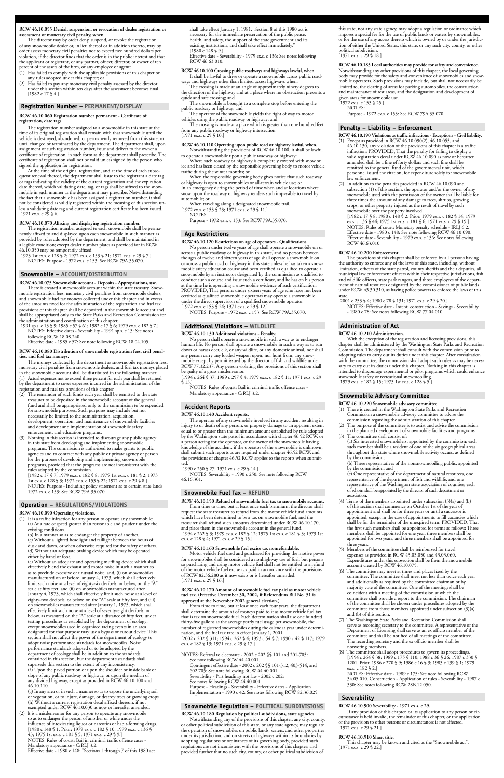#### **RCW 46.10.055 Denial, suspension, or revocation of dealer registration or assessment of monetary civil penalty, when.**

 The director may by order deny, suspend, or revoke the registration of any snowmobile dealer or, in lieu thereof or in addition thereto, may by order assess monetary civil penalties not to exceed five hundred dollars per violation, if the director finds that the order is in the public interest and that the applicant or registrant, or any partner, officer, director, or owner of ten percent of the assets of the firm, or any employee or agent:

- (1) Has failed to comply with the applicable provisions of this chapter or any rules adopted under this chapter; or
- (2) Has failed to pay any monetary civil penalty assessed by the director under this section within ten days after the assessment becomes final. [1982 c 17 § 4.]

**RCW 46.10.060 Registration number permanent - Certificate of registration, date tags.**

 The registration number assigned to a snowmobile in this state at the time of its original registration shall remain with that snowmobile until the vehicle is destroyed, abandoned, or permanently removed from this state, or until changed or terminated by the department. The department shall, upon assignment of such registration number, issue and deliver to the owner a certificate of registration, in such form as the department shall prescribe. The certificate of registration shall not be valid unless signed by the person who signed the application for registration.

[1973 1st ex.s. c 128  $\frac{1}{2}$ ; 1972 ex.s. c 153  $\frac{1}{2}$  21; 1971 ex.s. c 29  $\frac{1}{2}$  7.] NOTES: Purpose - 1972 ex.s. c 153: See RCW 79A.35.070.

 At the time of the original registration, and at the time of each subsequent renewal thereof, the department shall issue to the registrant a date tag or tags indicating the validity of the current registration and the expiration date thereof, which validating date, tag, or tags shall be affixed to the snowmobile in such manner as the department may prescribe. Notwithstanding the fact that a snowmobile has been assigned a registration number, it shall not be considered as validly registered within the meaning of this section unless a validating date tag and current registration certificate has been issued. [1971 ex.s. c 29 § 6.]

#### **RCW 46.10.070 Affixing and displaying registration number.**

 The registration number assigned to each snowmobile shall be permanently affixed to and displayed upon each snowmobile in such manner as provided by rules adopted by the department, and shall be maintained in a legible condition; except dealer number plates as provided for in RCW 46.10.050 may be temporarily affixed.

- (2) The remainder of such funds each year shall be remitted to the state
- treasurer to be deposited in the snowmobile account of the general fund and shall be appropriated only to the commission to be expended for snowmobile purposes. Such purposes may include but not necessarily be limited to the administration, acquisition, development, operation, and maintenance of snowmobile facilities and development and implementation of snowmobile safety enforcement, and education programs.
- (3) Nothing in this section is intended to discourage any public agency in this state from developing and implementing snowmobile programs. The commission is authorized to make grants to public agencies and to contract with any public or private agency or person for the purpose of developing and implementing snowmobile programs, provided that the programs are not inconsistent with the rules adopted by the commission.

**RCW 46.10.075 Snowmobile account - Deposits - Appropriations, use.**

 There is created a snowmobile account within the state treasury. Snowmobile registration fees, monetary civil penalties from snowmobile dealers, and snowmobile fuel tax moneys collected under this chapter and in excess of the amounts fixed for the administration of the registration and fuel tax provisions of this chapter shall be deposited in the snowmobile account and shall be appropriated only to the State Parks and Recreation Commission for the administration and coordination of this chapter.

[1991 sp.s. c 13 § 9; 1985 c 57 § 61; 1982 c 17 § 6; 1979 ex.s. c 182 § 7.] NOTES: Effective dates - Severability - 1991 sp.s. c 13: See notes following RCW 18.08.240.

 Effective date - 1985 c 57: See note following RCW 18.04.105.

#### **RCW 46.10.080 Distribution of snowmobile registration fees, civil penalties, and fuel tax moneys.**

 The moneys collected by the department as snowmobile registration fees, monetary civil penalties from snowmobile dealers, and fuel tax moneys placed in the snowmobile account shall be distributed in the following manner: (1) Actual expenses not to exceed three percent for each year shall be retained by the department to cover expenses incurred in the administration of the registration and fuel tax provisions of this chapter.

 shall take effect January 1, 1981. Section 8 of this 1980 act is necessary for the immediate preservation of the public peace, health, and safety, the support of the state government and its existing institutions, and shall take effect immediately."  $[1980 \text{ c } 148 \text{ $9.]}$ 

 [1982 c 17 § 7; 1979 ex.s. c 182 § 8; 1975 1st ex.s. c 181 § 2; 1973 1st ex.s. c 128 § 3; 1972 ex.s. c 153 § 22; 1971 ex.s. c 29 § 8.] NOTES: Purpose - Including policy statement as to certain state lands 1972 ex.s. c 153: See RCW 79A.35.070.

#### **RCW 46.10.090 Operating violations.**

(1) It is a traffic infraction for any person to operate any snowmobile: (a) At a rate of speed greater than reasonable and prudent under the existing conditions.

 (b) In a manner so as to endanger the property of another.

- (c) Without a lighted headlight and taillight between the hours of dusk and dawn, or when otherwise required for the safety of others. (d) Without an adequate braking device which may be operated either by hand or foot.
- (e) Without an adequate and operating muffling device which shall effectively blend the exhaust and motor noise in such a manner so

 as to preclude excessive or unusual noise, and, (i) on snowmobiles manufactured on or before January 4, 1973, which shall effectively limit such noise at a level of eighty-six decibels, or below, on the "A" scale at fifty feet, and (ii) on snowmobiles manufactured after January 4, 1973, which shall effectively limit such noise at a level of eighty-two decibels, or below, on the "A" scale at fifty feet, and (iii) on snowmobiles manufactured after January 1, 1975, which shall effectively limit such noise at a level of seventy-eight decibels, or below, as measured on the "A" scale at a distance of fifty feet, under testing procedures as established by the department of ecology; except snowmobiles used in organized racing events in an area designated for that purpose may use a bypass or cutout device. This section shall not affect the power of the department of ecology to adopt noise performance standards for snowmobiles. Noise performance standards adopted or to be adopted by the department of ecology shall be in addition to the standards contained in this section, but the department's standards shall supersede this section to the extent of any inconsistency. (f) Upon the paved portion or upon the shoulder or inside bank or slope of any public roadway or highway, or upon the median of any divided highway, except as provided in RCW 46.10.100 and 46.10.110.

 (g) In any area or in such a manner so as to expose the underlying soil or vegetation, or to injure, damage, or destroy trees or growing crops. (h) Without a current registration decal affixed thereon, if not exempted under RCW 46.10.030 as now or hereafter amended.

(2) It is a misdemeanor for any person to operate any snowmobile so as to endanger the person of another or while under the influence of intoxicating liquor or narcotics or habit-forming drugs. [1980 c 148 § 1. Prior: 1979 ex.s. c 182 § 10; 1979 ex.s. c 136 § 43; 1975 1st ex.s. c 181 § 5; 1971 ex.s. c 29 § 9.] NOTES: Rules of court: Bail in criminal traffic offense cases - Mandatory appearance - CrRLJ 3.2. Effective date - 1980 c 148: "Sections 1 through 7 of this 1980 act

limited to, the clearing of areas for parking automobiles, the construction and maintenance of rest areas, and the designation and development of

 Effective date - Severability - 1979 ex.s. c 136: See notes following RCW 46.63.010.

#### **RCW 46.10.100 Crossing public roadways and highways lawful, when.** It shall be lawful to drive or operate a snowmobile across public roadways and highways other than limited access highways when:

 The crossing is made at an angle of approximately ninety degrees to the direction of the highway and at a place where no obstruction prevents a

quick and safe crossing; and The snowmobile is brought to a complete stop before entering the

public roadway or highway; and

 The operator of the snowmobile yields the right of way to motor vehicles using the public roadway or highway; and

 The crossing is made at a place which is greater than one hundred feet from any public roadway or highway intersection. [1971 ex.s. c 29 § 10.]

#### **RCW 46.10.110 Operating upon public road or highway lawful, when.** Notwithstanding the provisions of RCW 46.10.100, it shall be lawful

- (1) There is created in the Washington State Parks and Recreation Commission a snowmobile advisory committee to advise the commission regarding the administration of this chapter.
- The purpose of the committee is to assist and advise the commission in the planned development of snowmobile facilities and programs. (3) The committee shall consist of:
- (a) Six interested snowmobilers, appointed by the commission; each such member shall be a resident of one of the six geographical areas throughout this state where snowmobile activity occurs, as defined by the commission;
	- (b) Three representatives of the nonsnowmobiling public, appointed by the commission; and
- (c) One representative of the department of natural resources, one representative of the department of fish and wildlife, and one representative of the Washington state association of counties; each of whom shall be appointed by the director of such department or association.
- (4) Terms of the members appointed under subsection (3)(a) and (b) of this section shall commence on October 1st of the year of appointment and shall be for three years or until a successor is appointed, except in the case of appointments to fill vacancies which shall be for the remainder of the unexpired term: PROVIDED, That the first such members shall be appointed for terms as follows: Three members shall be appointed for one year, three members shall be appointed for two years, and three members shall be appointed for three years.<br>(5) Members of
- Members of the committee shall be reimbursed for travel expenses as provided in RCW 43.03.050 and 43.03.060. Expenditures under this subsection shall be from the snowmobile account created by RCW 46.10.075.
	- The committee may meet at times and p

to operate a snowmobile upon a public roadway or highway: Where such roadway or highway is completely covered with snow or ice and has been closed by the responsible governing body to motor vehicle traffic during the winter months; or

 When the responsible governing body gives notice that such roadway or highway is open to snowmobiles or all-terrain vehicle use; or In an emergency during the period of time when and at locations where snow upon the roadway or highway renders such impassible to travel by automobile; or

 When traveling along a designated snowmobile trail. [1972 ex.s. c 153 § 23; 1971 ex.s. c 29 § 11.]

 NOTES:

 Purpose - 1972 ex.s. c 153: See RCW 79A.35.070.

**RCW 46.10.120 Restrictions on age of operators - Qualifications.**

 No person under twelve years of age shall operate a snowmobile on or across a public roadway or highway in this state, and no person between the ages of twelve and sixteen years of age shall operate a snowmobile on or across a public road or highway in this state unless he has taken a snowmobile safety education course and been certified as qualified to operate a snowmobile by an instructor designated by the commission as qualified to conduct such a course and issue such a certificate, and he has on his person at the time he is operating a snowmobile evidence of such certification: PROVIDED, That persons under sixteen years of age who have not been certified as qualified snowmobile operators may operate a snowmobile under the direct supervision of a qualified snowmobile operator. [1972 ex.s. c 153 § 24; 1971 ex.s. c 29 § 12.]

 NOTES: Purpose - 1972 ex.s. c 153: See RCW 79A.35.070.

#### **RCW 46.10.130 Additional violations - Penalty.**

 This chapter may be known and cited as the "Snowmobile act".  $[1971 \text{ ex.s. c } 29 \text{ § } 22.]$ 

 No person shall operate a snowmobile in such a way as to endanger human life. No person shall operate a snowmobile in such a way as to run down or harass deer, elk, or any wildlife, or any domestic animal, nor shall any person carry any loaded weapon upon, nor hunt from, any snowmobile except by permit issued by the director of fish and wildlife under RCW 77.32.237. Any person violating the provisions of this section shall be guilty of a gross misdemeanor.

[1994 c 264 § 37; 1989 c 297 § 4; 1979 ex.s. c 182 § 11; 1971 ex.s. c 29 § 13.]

 NOTES: Rules of court: Bail in criminal traffic offense cases - Mandatory appearance - CrRLJ 3.2.

**RCW 46.10.140 Accident reports.**

 The operator of any snowmobile involved in any accident resulting in injury to or death of any person, or property damage to an apparent extent equal to or greater than the minimum amount established by rule adopted by the Washington state patrol in accordance with chapter 46.52 RCW, or a person acting for the operator, or the owner of the snowmobile having knowledge of the accident, if the operator of the snowmobile is unknown, shall submit such reports as are required under chapter 46.52 RCW, and the provisions of chapter 46.52 RCW applies to the reports when submitted.

[1990 c 250 § 27; 1971 ex.s. c 29 § 14.] NOTES: Severability - 1990 c 250: See note following RCW 46.16.301.

**RCW 46.10.150 Refund of snowmobile fuel tax to snowmobile account.** From time to time, but at least once each biennium, the director shall request the state treasurer to refund from the motor vehicle fund amounts which have been determined to be a tax on snowmobile fuel, and the treasurer shall refund such amounts determined under RCW 46.10.170, and place them in the snowmobile account in the general fund. [1994 c 262 § 3; 1979 ex.s. c 182 § 12; 1975 1st ex.s. c 181 § 3; 1973 1st ex.s. c 128 § 4; 1971 ex.s. c 29 § 15.]

#### **RCW 46.10.160 Snowmobile fuel excise tax nonrefundable.**

 Motor vehicle fuel used and purchased for providing the motive power for snowmobiles shall be considered a nonhighway use of fuel, but persons so purchasing and using motor vehicle fuel shall not be entitled to a refund of the motor vehicle fuel excise tax paid in accordance with the provisions of RCW 82.36.280 as it now exists or is hereafter amended. [1971 ex.s. c 29 § 16.]

**RCW 46.10.170 Amount of snowmobile fuel tax paid as motor vehicle fuel tax. (Effective December 30, 2002, if Referendum Bill No. 51 is approved at the November 2002 general election.)**

 From time to time, but at least once each four years, the department shall determine the amount of moneys paid to it as motor vehicle fuel tax that is tax on snowmobile fuel. Such determination shall use one hundred thirty-five gallons as the average yearly fuel usage per snowmobile, the number of registered snowmobiles during the calendar year under determination, and the fuel tax rate in effect January 1, 2001. [2002 c 202 § 311; 1994 c 262 § 4; 1993 c 54 § 7; 1990 c 42 § 117; 1979 ex.s. c 182 § 13; 1971 ex.s. c 29 § 17.]

NOTES: Referral to electorate - 2002 c 202 §§ 101 and 201-705: See note following RCW 44.40.001. Contingent effective date - 2002 c 202 §§ 101-312, 403-514, and 602 705: See note following RCW 44.40.001. Severability - Part headings not law - 2002 c 202: See notes following RCW 44.40.001. Purpose - Headings - Severability - Effective dates - Application Implementation - 1990 c 42: See notes following RCW 82.36.025.

**RCW 46.10.180 Regulation by political subdivisions, state agencies.**

 Notwithstanding any of the provisions of this chapter, any city, county, or other political subdivision of this state, or any state agency, may regulate the operation of snowmobiles on public lands, waters, and other properties under its jurisdiction, and on streets or highways within its boundaries by adopting regulations or ordinances of its governing body, provided such regulations are not inconsistent with the provisions of this chapter; and provided further that no such city, county, or other political subdivision of

this state, nor any state agency, may adopt a regulation or ordinance which imposes a special fee for the use of public lands or waters by snowmobiles, or for the use of any access thereto which is owned by or under the jurisdiction of either the United States, this state, or any such city, county, or other political subdivision. [1971 ex.s. c 29 § 18.]

**RCW 46.10.185 Local authorities may provide for safety and convenience.** Notwithstanding any other provisions of this chapter, the local governing body may provide for the safety and convenience of snowmobiles and snow mobile operators. Such provisions may include, but shall not necessarily be

given areas for snowmobile use.

[1972 ex.s. c 153 § 25.] NOTES:

 Purpose - 1972 ex.s. c 153: See RCW 79A.35.070.

**RCW 46.10.190 Violations as traffic infractions - Exceptions - Civil liability.**

- (1) Except as provided in RCW 46.10.090(2), 46.10.055, and 46.10.130, any violation of the provisions of this chapter is a traffic infraction: PROVIDED, That the penalty for failing to display a valid registration decal under RCW 46.10.090 as now or hereafter amended shall be a fine of forty dollars and such fine shall be remitted to the general fund of the governmental unit, which personnel issued the citation, for expenditure solely for snowmobile law enforcement.
- (2) In addition to the penalties provided in RCW 46.10.090 and subsection (1) of this section, the operator and/or the owner of any snowmobile used with the permission of the owner shall be liable for three times the amount of any damage to trees, shrubs, growing crops, or other property injured as the result of travel by such snowmobile over the property involved. [1982 c 17 § 8; 1980 c 148 § 2. Prior: 1979 ex.s. c 182 § 14; 1979 ex.s. c 136 § 44; 1975 1st ex.s. c 181 § 6; 1971 ex.s. c 29 § 19.] NOTES: Rules of court: Monetary penalty schedule - IRLJ 6.2. Effective date - 1980 c 148: See note following RCW 46.10.090.

 Effective date - Severability - 1979 ex.s. c 136: See notes following RCW 46.63.010.

#### **RCW 46.10.200 Enforcement.**

 The provisions of this chapter shall be enforced by all persons having the authority to enforce any of the laws of this state, including, without limitation, officers of the state patrol, county sheriffs and their deputies, all municipal law enforcement officers within their respective jurisdictions, fish and wildlife officers, state park rangers, and those employees of the department of natural resources designated by the commissioner of public lands under RCW 43.30.310, as having police powers to enforce the laws of this state.

[2001 c 253 § 4; 1980 c 78 § 131; 1971 ex.s. c 29 § 20.]

 NOTES: Effective date - Intent, construction - Savings - Severability - 1980 c 78: See notes following RCW 77.04.010.

**RCW 46.10.210 Administration.**

 With the exception of the registration and licensing provisions, this chapter shall be administered by the Washington State Parks and Recreation Commission. The department shall consult with the commission prior to adopting rules to carry out its duties under this chapter. After consultation with the committee, the commission shall adopt such rules as may be necessary to carry out its duties under this chapter. Nothing in this chapter is intended to discourage experimental or pilot programs which could enhance snowmobile safety or recreational snowmobiling. [1979 ex.s. c 182 § 15; 1973 1st ex.s. c 128 § 5.]

**RCW 46.10.220 Snowmobile advisory committee.**

- committee. The committee shall meet not less than twice each year and additionally as required by the committee chairman or by majority vote of the committee. One of the meetings shall be coincident with a meeting of the commission at which the committee shall provide a report to the commission. The chairman of the committee shall be chosen under procedures adopted by the committee from those members appointed under subsection (3)(a) and (b) of this section.
- (7) The Washington State Parks and Recreation Commission shall serve as recording secretary to the committee. A representative of the Department of Licensing shall serve as an ex officio member of the committee and shall be notified of all meetings of the committee. The recording secretary and the ex officio member shall be nonvoting members.
- (8) The committee shall adopt procedures to govern its proceedings. [1994 c 264 § 38; 1989 c 175 § 110; 1988 c 36 § 26; 1987 c 330 § 1201. Prior: 1986 c 270 § 9; 1986 c 16 § 3; 1983 c 139 § 1; 1979 ex.s. c 182 § 2.]

 NOTES: Effective date - 1989 c 175: See note following RCW 34.05.010. Construction - Application of rules - Severability - 1987 c 330: See notes following RCW 28B.12.050.

#### **RCW 46.10.900 Severability - 1971 ex.s. c 29.**

 If any provision of this chapter, or its application to any person or circumstance is held invalid, the remainder of this chapter, or the application of the provision to other persons or circumstances is not affected. [1971 ex.s. c 29 § 21.]

#### **RCW 46.10.910 Short title.**

#### **Registration Number – PERMANENT/DISPLAY**

#### **Operation – REGULATIONS/VIOLATIONS**

#### **Snowmobile – ACCOUNT/DISTRIBUTION**

#### **Age Restrictions**

#### **Additional Violations – WILDLIFE**

#### **Accident Reports**

#### **Snowmobile Fuel Tax – REFUND**

#### **Snowmobile Regulation – POLITICAL SUBDIVISIONS**

#### **Penalty – Liability – Enforcement**

# **Administration of Act**

#### **Snowmobile Advisory Committee**

### **Severability**